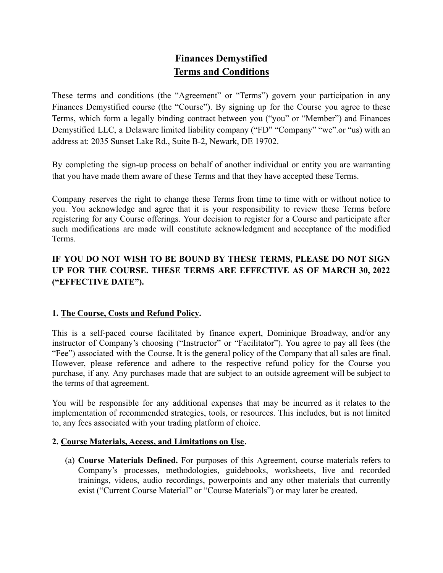# **Finances Demystified Terms and Conditions**

These terms and conditions (the "Agreement" or "Terms") govern your participation in any Finances Demystified course (the "Course"). By signing up for the Course you agree to these Terms, which form a legally binding contract between you ("you" or "Member") and Finances Demystified LLC, a Delaware limited liability company ("FD" "Company" "we".or "us) with an address at: 2035 Sunset Lake Rd., Suite B-2, Newark, DE 19702.

By completing the sign-up process on behalf of another individual or entity you are warranting that you have made them aware of these Terms and that they have accepted these Terms.

Company reserves the right to change these Terms from time to time with or without notice to you. You acknowledge and agree that it is your responsibility to review these Terms before registering for any Course offerings. Your decision to register for a Course and participate after such modifications are made will constitute acknowledgment and acceptance of the modified Terms.

## **IF YOU DO NOT WISH TO BE BOUND BY THESE TERMS, PLEASE DO NOT SIGN UP FOR THE COURSE. THESE TERMS ARE EFFECTIVE AS OF MARCH 30, 2022 ("EFFECTIVE DATE").**

### **1. The Course, Costs and Refund Policy.**

This is a self-paced course facilitated by finance expert, Dominique Broadway, and/or any instructor of Company's choosing ("Instructor" or "Facilitator"). You agree to pay all fees (the "Fee") associated with the Course. It is the general policy of the Company that all sales are final. However, please reference and adhere to the respective refund policy for the Course you purchase, if any. Any purchases made that are subject to an outside agreement will be subject to the terms of that agreement.

You will be responsible for any additional expenses that may be incurred as it relates to the implementation of recommended strategies, tools, or resources. This includes, but is not limited to, any fees associated with your trading platform of choice.

#### **2. Course Materials, Access, and Limitations on Use.**

(a) **Course Materials Defined.** For purposes of this Agreement, course materials refers to Company's processes, methodologies, guidebooks, worksheets, live and recorded trainings, videos, audio recordings, powerpoints and any other materials that currently exist ("Current Course Material" or "Course Materials") or may later be created.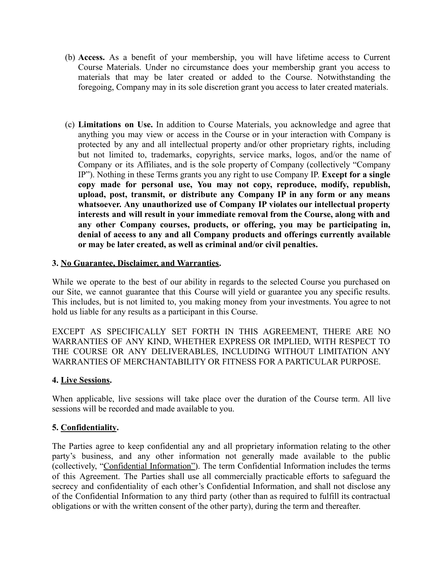- (b) **Access.** As a benefit of your membership, you will have lifetime access to Current Course Materials. Under no circumstance does your membership grant you access to materials that may be later created or added to the Course. Notwithstanding the foregoing, Company may in its sole discretion grant you access to later created materials.
- (c) **Limitations on Use.** In addition to Course Materials, you acknowledge and agree that anything you may view or access in the Course or in your interaction with Company is protected by any and all intellectual property and/or other proprietary rights, including but not limited to, trademarks, copyrights, service marks, logos, and/or the name of Company or its Affiliates, and is the sole property of Company (collectively "Company IP"). Nothing in these Terms grants you any right to use Company IP. **Except for a single copy made for personal use, You may not copy, reproduce, modify, republish, upload, post, transmit, or distribute any Company IP in any form or any means whatsoever. Any unauthorized use of Company IP violates our intellectual property interests and will result in your immediate removal from the Course, along with and any other Company courses, products, or offering, you may be participating in, denial of access to any and all Company products and offerings currently available or may be later created, as well as criminal and/or civil penalties.**

#### **3. No Guarantee, Disclaimer, and Warranties.**

While we operate to the best of our ability in regards to the selected Course you purchased on our Site, we cannot guarantee that this Course will yield or guarantee you any specific results. This includes, but is not limited to, you making money from your investments. You agree to not hold us liable for any results as a participant in this Course.

EXCEPT AS SPECIFICALLY SET FORTH IN THIS AGREEMENT, THERE ARE NO WARRANTIES OF ANY KIND, WHETHER EXPRESS OR IMPLIED, WITH RESPECT TO THE COURSE OR ANY DELIVERABLES, INCLUDING WITHOUT LIMITATION ANY WARRANTIES OF MERCHANTABILITY OR FITNESS FOR A PARTICULAR PURPOSE.

#### **4. Live Sessions.**

When applicable, live sessions will take place over the duration of the Course term. All live sessions will be recorded and made available to you.

#### **5. Confidentiality.**

The Parties agree to keep confidential any and all proprietary information relating to the other party's business, and any other information not generally made available to the public (collectively, "Confidential Information"). The term Confidential Information includes the terms of this Agreement. The Parties shall use all commercially practicable efforts to safeguard the secrecy and confidentiality of each other's Confidential Information, and shall not disclose any of the Confidential Information to any third party (other than as required to fulfill its contractual obligations or with the written consent of the other party), during the term and thereafter.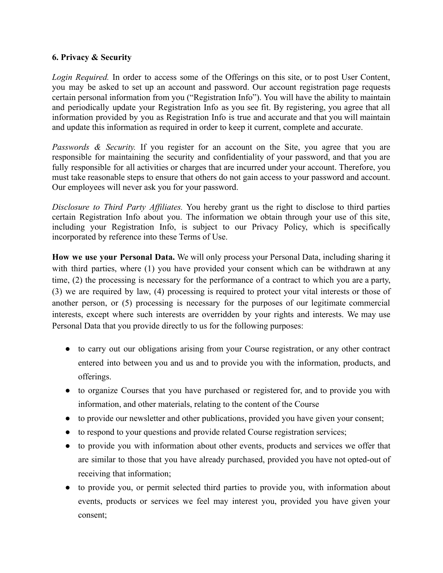#### **6. Privacy & Security**

*Login Required.* In order to access some of the Offerings on this site, or to post User Content, you may be asked to set up an account and password. Our account registration page requests certain personal information from you ("Registration Info"). You will have the ability to maintain and periodically update your Registration Info as you see fit. By registering, you agree that all information provided by you as Registration Info is true and accurate and that you will maintain and update this information as required in order to keep it current, complete and accurate.

*Passwords & Security.* If you register for an account on the Site, you agree that you are responsible for maintaining the security and confidentiality of your password, and that you are fully responsible for all activities or charges that are incurred under your account. Therefore, you must take reasonable steps to ensure that others do not gain access to your password and account. Our employees will never ask you for your password.

*Disclosure to Third Party Affiliates.* You hereby grant us the right to disclose to third parties certain Registration Info about you. The information we obtain through your use of this site, including your Registration Info, is subject to our Privacy Policy, which is specifically incorporated by reference into these Terms of Use.

**How we use your Personal Data.** We will only process your Personal Data, including sharing it with third parties, where (1) you have provided your consent which can be withdrawn at any time, (2) the processing is necessary for the performance of a contract to which you are a party, (3) we are required by law, (4) processing is required to protect your vital interests or those of another person, or (5) processing is necessary for the purposes of our legitimate commercial interests, except where such interests are overridden by your rights and interests. We may use Personal Data that you provide directly to us for the following purposes:

- to carry out our obligations arising from your Course registration, or any other contract entered into between you and us and to provide you with the information, products, and offerings.
- to organize Courses that you have purchased or registered for, and to provide you with information, and other materials, relating to the content of the Course
- to provide our newsletter and other publications, provided you have given your consent;
- to respond to your questions and provide related Course registration services;
- to provide you with information about other events, products and services we offer that are similar to those that you have already purchased, provided you have not opted-out of receiving that information;
- to provide you, or permit selected third parties to provide you, with information about events, products or services we feel may interest you, provided you have given your consent;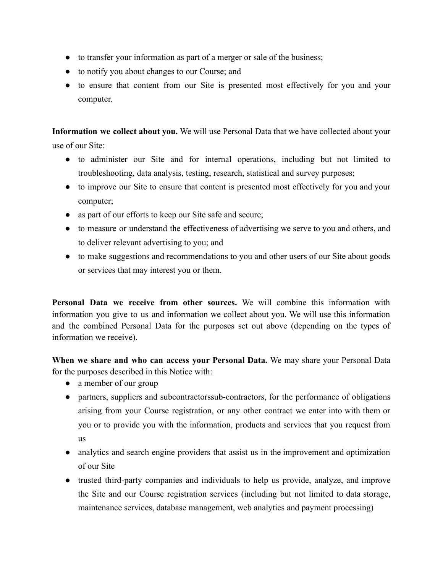- to transfer your information as part of a merger or sale of the business;
- to notify you about changes to our Course; and
- to ensure that content from our Site is presented most effectively for you and your computer.

**Information we collect about you.** We will use Personal Data that we have collected about your use of our Site:

- to administer our Site and for internal operations, including but not limited to troubleshooting, data analysis, testing, research, statistical and survey purposes;
- to improve our Site to ensure that content is presented most effectively for you and your computer;
- as part of our efforts to keep our Site safe and secure;
- to measure or understand the effectiveness of advertising we serve to you and others, and to deliver relevant advertising to you; and
- to make suggestions and recommendations to you and other users of our Site about goods or services that may interest you or them.

**Personal Data we receive from other sources.** We will combine this information with information you give to us and information we collect about you. We will use this information and the combined Personal Data for the purposes set out above (depending on the types of information we receive).

**When we share and who can access your Personal Data.** We may share your Personal Data for the purposes described in this Notice with:

- a member of our group
- partners, suppliers and subcontractorssub-contractors, for the performance of obligations arising from your Course registration, or any other contract we enter into with them or you or to provide you with the information, products and services that you request from us
- analytics and search engine providers that assist us in the improvement and optimization of our Site
- trusted third-party companies and individuals to help us provide, analyze, and improve the Site and our Course registration services (including but not limited to data storage, maintenance services, database management, web analytics and payment processing)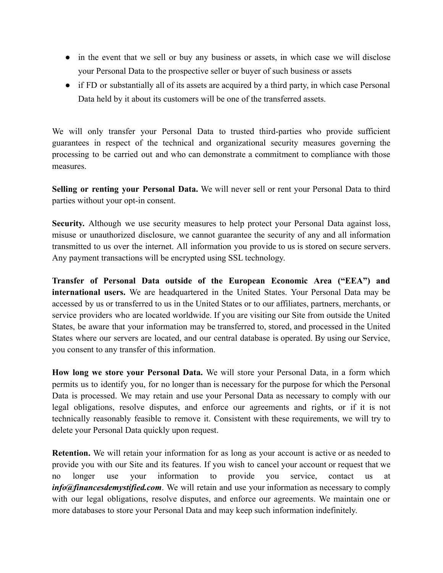- in the event that we sell or buy any business or assets, in which case we will disclose your Personal Data to the prospective seller or buyer of such business or assets
- if FD or substantially all of its assets are acquired by a third party, in which case Personal Data held by it about its customers will be one of the transferred assets.

We will only transfer your Personal Data to trusted third-parties who provide sufficient guarantees in respect of the technical and organizational security measures governing the processing to be carried out and who can demonstrate a commitment to compliance with those measures.

**Selling or renting your Personal Data.** We will never sell or rent your Personal Data to third parties without your opt-in consent.

**Security.** Although we use security measures to help protect your Personal Data against loss, misuse or unauthorized disclosure, we cannot guarantee the security of any and all information transmitted to us over the internet. All information you provide to us is stored on secure servers. Any payment transactions will be encrypted using SSL technology.

**Transfer of Personal Data outside of the European Economic Area ("EEA") and international users.** We are headquartered in the United States. Your Personal Data may be accessed by us or transferred to us in the United States or to our affiliates, partners, merchants, or service providers who are located worldwide. If you are visiting our Site from outside the United States, be aware that your information may be transferred to, stored, and processed in the United States where our servers are located, and our central database is operated. By using our Service, you consent to any transfer of this information.

**How long we store your Personal Data.** We will store your Personal Data, in a form which permits us to identify you, for no longer than is necessary for the purpose for which the Personal Data is processed. We may retain and use your Personal Data as necessary to comply with our legal obligations, resolve disputes, and enforce our agreements and rights, or if it is not technically reasonably feasible to remove it. Consistent with these requirements, we will try to delete your Personal Data quickly upon request.

**Retention.** We will retain your information for as long as your account is active or as needed to provide you with our Site and its features. If you wish to cancel your account or request that we no longer use your information to provide you service, contact us at *info@financesdemystified.com*. We will retain and use your information as necessary to comply with our legal obligations, resolve disputes, and enforce our agreements. We maintain one or more databases to store your Personal Data and may keep such information indefinitely.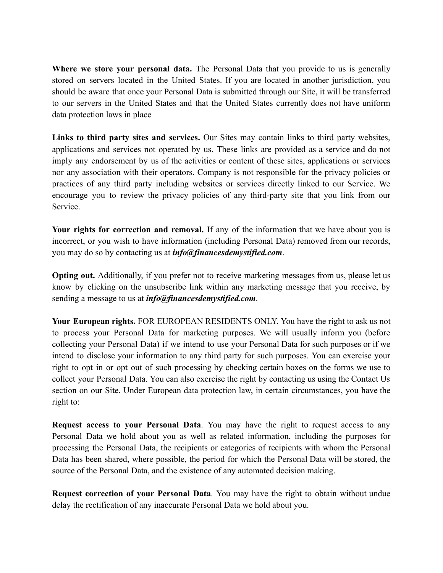**Where we store your personal data.** The Personal Data that you provide to us is generally stored on servers located in the United States. If you are located in another jurisdiction, you should be aware that once your Personal Data is submitted through our Site, it will be transferred to our servers in the United States and that the United States currently does not have uniform data protection laws in place

**Links to third party sites and services.** Our Sites may contain links to third party websites, applications and services not operated by us. These links are provided as a service and do not imply any endorsement by us of the activities or content of these sites, applications or services nor any association with their operators. Company is not responsible for the privacy policies or practices of any third party including websites or services directly linked to our Service. We encourage you to review the privacy policies of any third-party site that you link from our Service.

**Your rights for correction and removal.** If any of the information that we have about you is incorrect, or you wish to have information (including Personal Data) removed from our records, you may do so by contacting us at *info@financesdemystified.com*.

**Opting out.** Additionally, if you prefer not to receive marketing messages from us, please let us know by clicking on the unsubscribe link within any marketing message that you receive, by sending a message to us at *info@financesdemystified.com*.

**Your European rights.** FOR EUROPEAN RESIDENTS ONLY. You have the right to ask us not to process your Personal Data for marketing purposes. We will usually inform you (before collecting your Personal Data) if we intend to use your Personal Data for such purposes or if we intend to disclose your information to any third party for such purposes. You can exercise your right to opt in or opt out of such processing by checking certain boxes on the forms we use to collect your Personal Data. You can also exercise the right by contacting us using the [Contact](http://www.gsmiweb.com/get-involved.html?__hstc=62349555.886f9c8d737fdeb893ff5a88801fd31a.1523588028628.1544199485553.1544207249458.244&__hssc=62349555.5.1552410975509&__hsfp=1352309279) Us section on our Site. Under European data protection law, in certain circumstances, you have the right to:

**Request access to your Personal Data**. You may have the right to request access to any Personal Data we hold about you as well as related information, including the purposes for processing the Personal Data, the recipients or categories of recipients with whom the Personal Data has been shared, where possible, the period for which the Personal Data will be stored, the source of the Personal Data, and the existence of any automated decision making.

**Request correction of your Personal Data**. You may have the right to obtain without undue delay the rectification of any inaccurate Personal Data we hold about you.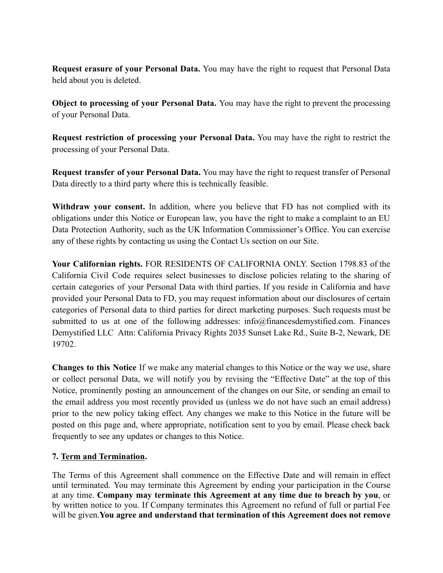**Request erasure of your Personal Data.** You may have the right to request that Personal Data held about you is deleted.

**Object to processing of your Personal Data.** You may have the right to prevent the processing of your Personal Data.

**Request restriction of processing your Personal Data.** You may have the right to restrict the processing of your Personal Data.

**Request transfer of your Personal Data.** You may have the right to request transfer of Personal Data directly to a third party where this is technically feasible.

**Withdraw your consent.** In addition, where you believe that FD has not complied with its obligations under this Notice or European law, you have the right to make a complaint to an EU Data Protection Authority, such as the UK Information Commissioner's Office. You can exercise any of these rights by contacting us using the [Contact](https://nciadev.wpengine.com/contact-us/) Us section on our Site.

**Your Californian rights.** FOR RESIDENTS OF CALIFORNIA ONLY. Section 1798.83 of the California Civil Code requires select businesses to disclose policies relating to the sharing of certain categories of your Personal Data with third parties. If you reside in California and have provided your Personal Data to FD, you may request information about our disclosures of certain categories of Personal data to third parties for direct marketing purposes. Such requests must be submitted to us at one of the following addresses: info@financesdemystified.com. Finances Demystified LLC Attn: California Privacy Rights 2035 Sunset Lake Rd., Suite B-2, Newark, DE 19702.

**Changes to this Notice** If we make any material changes to this Notice or the way we use, share or collect personal Data, we will notify you by revising the "Effective Date" at the top of this Notice, prominently posting an announcement of the changes on our Site, or sending an email to the email address you most recently provided us (unless we do not have such an email address) prior to the new policy taking effect. Any changes we make to this Notice in the future will be posted on this page and, where appropriate, notification sent to you by email. Please check back frequently to see any updates or changes to this Notice.

#### **7. Term and Termination.**

The Terms of this Agreement shall commence on the Effective Date and will remain in effect until terminated. You may terminate this Agreement by ending your participation in the Course at any time. **Company may terminate this Agreement at any time due to breach by you**, or by written notice to you. If Company terminates this Agreement no refund of full or partial Fee will be given.**You agree and understand that termination of this Agreement does not remove**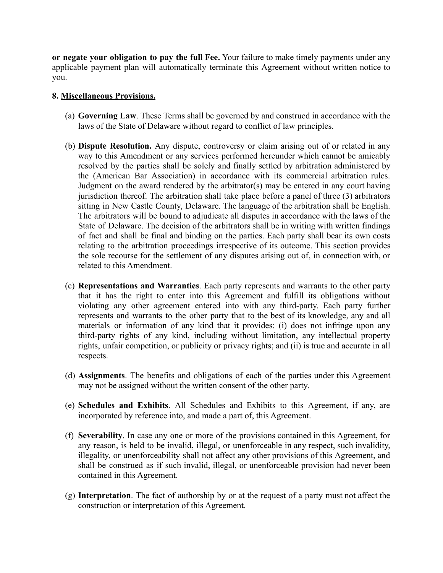**or negate your obligation to pay the full Fee.** Your failure to make timely payments under any applicable payment plan will automatically terminate this Agreement without written notice to you.

#### **8. Miscellaneous Provisions.**

- (a) **Governing Law**. These Terms shall be governed by and construed in accordance with the laws of the State of Delaware without regard to conflict of law principles.
- (b) **Dispute Resolution.** Any dispute, controversy or claim arising out of or related in any way to this Amendment or any services performed hereunder which cannot be amicably resolved by the parties shall be solely and finally settled by arbitration administered by the (American Bar Association) in accordance with its commercial arbitration rules. Judgment on the award rendered by the arbitrator(s) may be entered in any court having jurisdiction thereof. The arbitration shall take place before a panel of three (3) arbitrators sitting in New Castle County, Delaware. The language of the arbitration shall be English. The arbitrators will be bound to adjudicate all disputes in accordance with the laws of the State of Delaware. The decision of the arbitrators shall be in writing with written findings of fact and shall be final and binding on the parties. Each party shall bear its own costs relating to the arbitration proceedings irrespective of its outcome. This section provides the sole recourse for the settlement of any disputes arising out of, in connection with, or related to this Amendment.
- (c) **Representations and Warranties**. Each party represents and warrants to the other party that it has the right to enter into this Agreement and fulfill its obligations without violating any other agreement entered into with any third-party. Each party further represents and warrants to the other party that to the best of its knowledge, any and all materials or information of any kind that it provides: (i) does not infringe upon any third-party rights of any kind, including without limitation, any intellectual property rights, unfair competition, or publicity or privacy rights; and (ii) is true and accurate in all respects.
- (d) **Assignments**. The benefits and obligations of each of the parties under this Agreement may not be assigned without the written consent of the other party.
- (e) **Schedules and Exhibits**. All Schedules and Exhibits to this Agreement, if any, are incorporated by reference into, and made a part of, this Agreement.
- (f) **Severability**. In case any one or more of the provisions contained in this Agreement, for any reason, is held to be invalid, illegal, or unenforceable in any respect, such invalidity, illegality, or unenforceability shall not affect any other provisions of this Agreement, and shall be construed as if such invalid, illegal, or unenforceable provision had never been contained in this Agreement.
- (g) **Interpretation**. The fact of authorship by or at the request of a party must not affect the construction or interpretation of this Agreement.